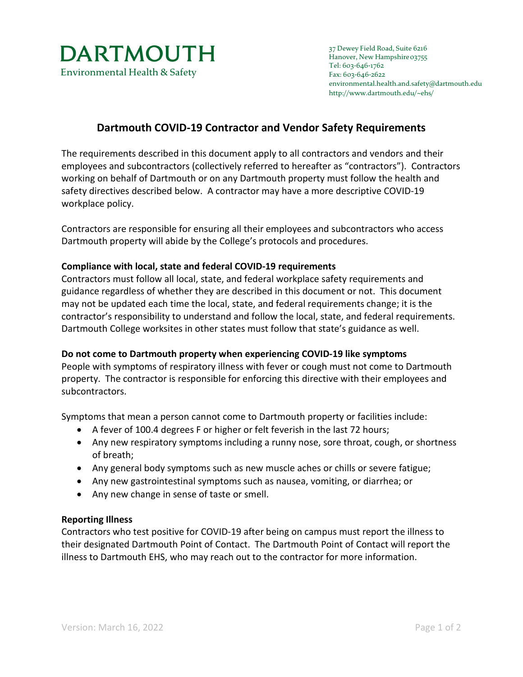

# **Dartmouth COVID-19 Contractor and Vendor Safety Requirements**

The requirements described in this document apply to all contractors and vendors and their employees and subcontractors (collectively referred to hereafter as "contractors"). Contractors working on behalf of Dartmouth or on any Dartmouth property must follow the health and safety directives described below. A contractor may have a more descriptive COVID-19 workplace policy.

Contractors are responsible for ensuring all their employees and subcontractors who access Dartmouth property will abide by the College's protocols and procedures.

### **Compliance with local, state and federal COVID-19 requirements**

Contractors must follow all local, state, and federal workplace safety requirements and guidance regardless of whether they are described in this document or not. This document may not be updated each time the local, state, and federal requirements change; it is the contractor's responsibility to understand and follow the local, state, and federal requirements. Dartmouth College worksites in other states must follow that state's guidance as well.

### **Do not come to Dartmouth property when experiencing COVID-19 like symptoms**

People with symptoms of respiratory illness with fever or cough must not come to Dartmouth property. The contractor is responsible for enforcing this directive with their employees and subcontractors.

Symptoms that mean a person cannot come to Dartmouth property or facilities include:

- A fever of 100.4 degrees F or higher or felt feverish in the last 72 hours;
- Any new respiratory symptoms including a runny nose, sore throat, cough, or shortness of breath;
- Any general body symptoms such as new muscle aches or chills or severe fatigue;
- Any new gastrointestinal symptoms such as nausea, vomiting, or diarrhea; or
- Any new change in sense of taste or smell.

#### **Reporting Illness**

Contractors who test positive for COVID-19 after being on campus must report the illness to their designated Dartmouth Point of Contact. The Dartmouth Point of Contact will report the illness to Dartmouth EHS, who may reach out to the contractor for more information.